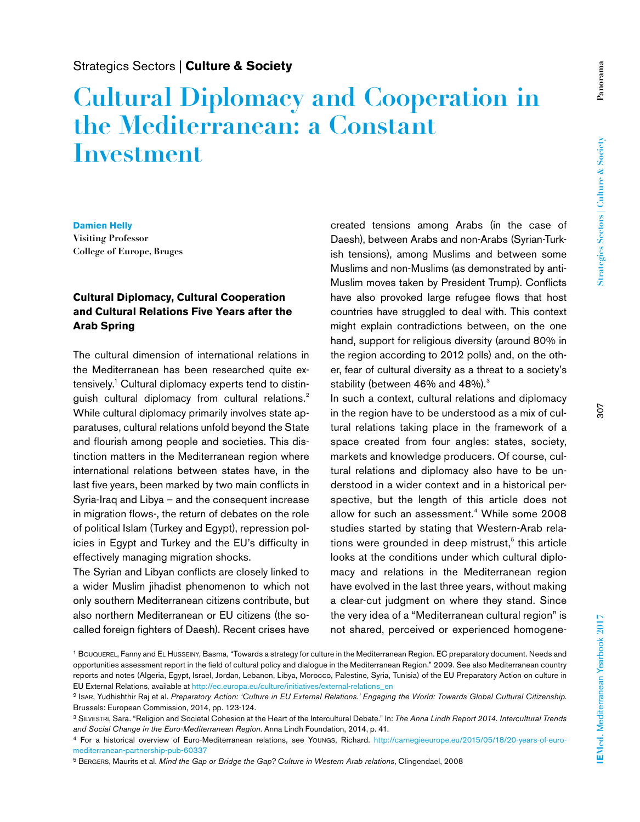# **Cultural Diplomacy and Cooperation in the Mediterranean: a Constant Investment**

#### **Damien Helly**

**Visiting Professor College of Europe, Bruges**

### **Cultural Diplomacy, Cultural Cooperation and Cultural Relations Five Years after the Arab Spring**

The cultural dimension of international relations in the Mediterranean has been researched quite extensively.1 Cultural diplomacy experts tend to distinguish cultural diplomacy from cultural relations.<sup>2</sup> While cultural diplomacy primarily involves state apparatuses, cultural relations unfold beyond the State and flourish among people and societies. This distinction matters in the Mediterranean region where international relations between states have, in the last five years, been marked by two main conflicts in Syria-Iraq and Libya – and the consequent increase in migration flows-, the return of debates on the role of political Islam (Turkey and Egypt), repression policies in Egypt and Turkey and the EU's difficulty in effectively managing migration shocks.

The Syrian and Libyan conflicts are closely linked to a wider Muslim jihadist phenomenon to which not only southern Mediterranean citizens contribute, but also northern Mediterranean or EU citizens (the socalled foreign fighters of Daesh). Recent crises have

created tensions among Arabs (in the case of Daesh), between Arabs and non-Arabs (Syrian-Turkish tensions), among Muslims and between some Muslims and non-Muslims (as demonstrated by anti-Muslim moves taken by President Trump). Conflicts have also provoked large refugee flows that host countries have struggled to deal with. This context might explain contradictions between, on the one hand, support for religious diversity (around 80% in the region according to 2012 polls) and, on the other, fear of cultural diversity as a threat to a society's stability (between 46% and 48%).<sup>3</sup>

In such a context, cultural relations and diplomacy in the region have to be understood as a mix of cultural relations taking place in the framework of a space created from four angles: states, society, markets and knowledge producers. Of course, cultural relations and diplomacy also have to be understood in a wider context and in a historical perspective, but the length of this article does not allow for such an assessment.<sup>4</sup> While some 2008 studies started by stating that Western-Arab relations were grounded in deep mistrust,<sup>5</sup> this article looks at the conditions under which cultural diplomacy and relations in the Mediterranean region have evolved in the last three years, without making a clear-cut judgment on where they stand. Since the very idea of a "Mediterranean cultural region" is not shared, perceived or experienced homogene-

5 Bergers, Maurits et al. *Mind the Gap or Bridge the Gap? Culture in Western Arab relations*, Clingendael, 2008

<sup>1</sup> Bouquerel, Fanny and El Husseiny, Basma, "Towards a strategy for culture in the Mediterranean Region. EC preparatory document. Needs and opportunities assessment report in the field of cultural policy and dialogue in the Mediterranean Region." 2009. See also Mediterranean country reports and notes (Algeria, Egypt, Israel, Jordan, Lebanon, Libya, Morocco, Palestine, Syria, Tunisia) of the EU Preparatory Action on culture in EU External Relations, available at http://ec.europa.eu/culture/initiatives/external-relations\_en

<sup>2</sup> Isar, Yudhishthir Raj et al. *Preparatory Action: 'Culture in EU External Relations.' Engaging the World: Towards Global Cultural Citizenship*. Brussels: European Commission, 2014, pp. 123-124.

<sup>3</sup> Silvestri, Sara. "Religion and Societal Cohesion at the Heart of the Intercultural Debate." In: *The Anna Lindh Report 2014. Intercultural Trends and Social Change in the Euro-Mediterranean Region*. Anna Lindh Foundation, 2014, p. 41.

<sup>4</sup> For a historical overview of Euro-Mediterranean relations, see Youngs, Richard. http://carnegieeurope.eu/2015/05/18/20-years-of-euromediterranean-partnership-pub-60337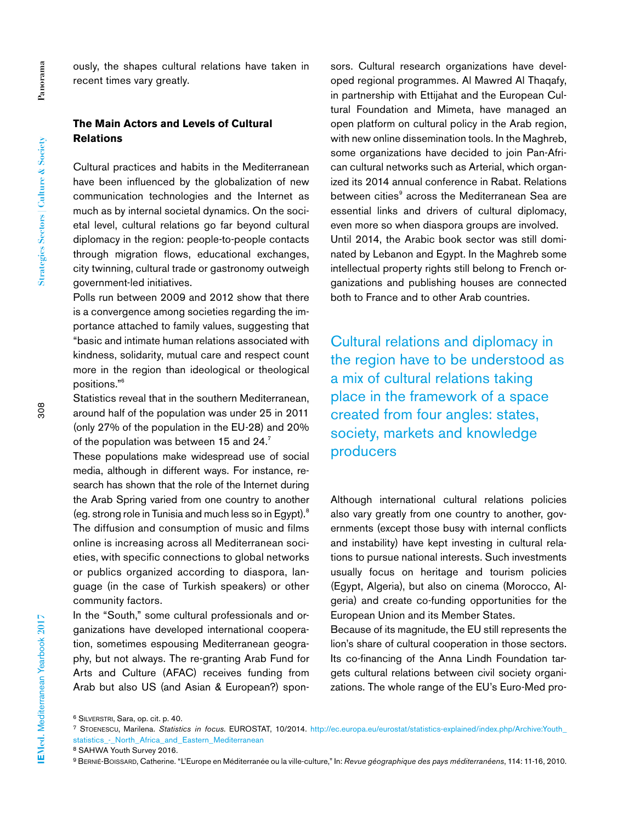ously, the shapes cultural relations have taken in recent times vary greatly.

#### **The Main Actors and Levels of Cultural Relations**

Cultural practices and habits in the Mediterranean have been influenced by the globalization of new communication technologies and the Internet as much as by internal societal dynamics. On the societal level, cultural relations go far beyond cultural diplomacy in the region: people-to-people contacts through migration flows, educational exchanges, city twinning, cultural trade or gastronomy outweigh government-led initiatives.

Polls run between 2009 and 2012 show that there is a convergence among societies regarding the importance attached to family values, suggesting that "basic and intimate human relations associated with kindness, solidarity, mutual care and respect count more in the region than ideological or theological positions."6

Statistics reveal that in the southern Mediterranean, around half of the population was under 25 in 2011 (only 27% of the population in the EU-28) and 20% of the population was between 15 and 24.7

These populations make widespread use of social media, although in different ways. For instance, research has shown that the role of the Internet during the Arab Spring varied from one country to another (eg. strong role in Tunisia and much less so in Egypt).8 The diffusion and consumption of music and films online is increasing across all Mediterranean societies, with specific connections to global networks or publics organized according to diaspora, language (in the case of Turkish speakers) or other community factors.

In the "South," some cultural professionals and organizations have developed international cooperation, sometimes espousing Mediterranean geography, but not always. The re-granting Arab Fund for Arts and Culture (AFAC) receives funding from Arab but also US (and Asian & European?) spon-

sors. Cultural research organizations have developed regional programmes. Al Mawred Al Thaqafy, in partnership with Ettijahat and the European Cultural Foundation and Mimeta, have managed an open platform on cultural policy in the Arab region, with new online dissemination tools. In the Maghreb, some organizations have decided to join Pan-African cultural networks such as Arterial, which organized its 2014 annual conference in Rabat. Relations between cities<sup>9</sup> across the Mediterranean Sea are essential links and drivers of cultural diplomacy, even more so when diaspora groups are involved. Until 2014, the Arabic book sector was still dominated by Lebanon and Egypt. In the Maghreb some intellectual property rights still belong to French organizations and publishing houses are connected both to France and to other Arab countries.

Cultural relations and diplomacy in the region have to be understood as a mix of cultural relations taking place in the framework of a space created from four angles: states, society, markets and knowledge producers

Although international cultural relations policies also vary greatly from one country to another, governments (except those busy with internal conflicts and instability) have kept investing in cultural relations to pursue national interests. Such investments usually focus on heritage and tourism policies (Egypt, Algeria), but also on cinema (Morocco, Algeria) and create co-funding opportunities for the European Union and its Member States.

Because of its magnitude, the EU still represents the lion's share of cultural cooperation in those sectors. Its co-financing of the Anna Lindh Foundation targets cultural relations between civil society organizations. The whole range of the EU's Euro-Med pro-

<sup>6</sup> Silverstri, Sara, op. cit. p. 40.

<sup>7</sup> Stoenescu, Marilena. *Statistics in focus*. EUROSTAT, 10/2014. http://ec.europa.eu/eurostat/statistics-explained/index.php/Archive:Youth\_ statistics\_-\_North\_Africa\_and\_Eastern\_Mediterranean

<sup>8</sup> SAHWA Youth Survey 2016.

<sup>9</sup> Bernié-Boissard, Catherine. "L'Europe en Méditerranée ou la ville-culture," In: *Revue géographique des pays méditerranéens*, 114: 11-16, 2010.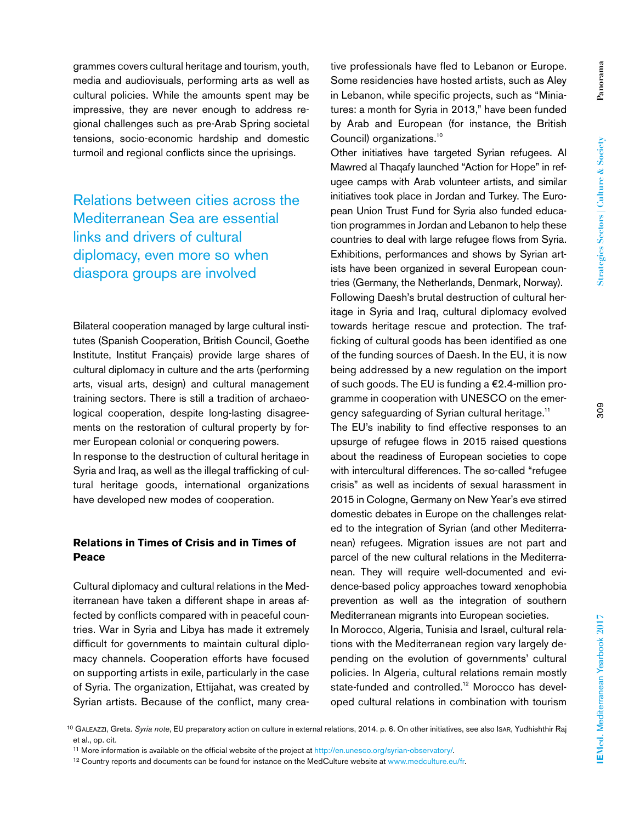Panorama **Panorama**

grammes covers cultural heritage and tourism, youth, media and audiovisuals, performing arts as well as cultural policies. While the amounts spent may be impressive, they are never enough to address regional challenges such as pre-Arab Spring societal tensions, socio-economic hardship and domestic turmoil and regional conflicts since the uprisings.

Relations between cities across the Mediterranean Sea are essential links and drivers of cultural diplomacy, even more so when diaspora groups are involved

Bilateral cooperation managed by large cultural institutes (Spanish Cooperation, British Council, Goethe Institute, Institut Français) provide large shares of cultural diplomacy in culture and the arts (performing arts, visual arts, design) and cultural management training sectors. There is still a tradition of archaeological cooperation, despite long-lasting disagreements on the restoration of cultural property by former European colonial or conquering powers. In response to the destruction of cultural heritage in Syria and Iraq, as well as the illegal trafficking of cultural heritage goods, international organizations have developed new modes of cooperation.

#### **Relations in Times of Crisis and in Times of Peace**

Cultural diplomacy and cultural relations in the Mediterranean have taken a different shape in areas affected by conflicts compared with in peaceful countries. War in Syria and Libya has made it extremely difficult for governments to maintain cultural diplomacy channels. Cooperation efforts have focused on supporting artists in exile, particularly in the case of Syria. The organization, Ettijahat, was created by Syrian artists. Because of the conflict, many creative professionals have fled to Lebanon or Europe. Some residencies have hosted artists, such as Aley in Lebanon, while specific projects, such as "Miniatures: a month for Syria in 2013," have been funded by Arab and European (for instance, the British Council) organizations.<sup>10</sup>

Other initiatives have targeted Syrian refugees. Al Mawred al Thaqafy launched "Action for Hope" in refugee camps with Arab volunteer artists, and similar initiatives took place in Jordan and Turkey. The European Union Trust Fund for Syria also funded education programmes in Jordan and Lebanon to help these countries to deal with large refugee flows from Syria. Exhibitions, performances and shows by Syrian artists have been organized in several European countries (Germany, the Netherlands, Denmark, Norway). Following Daesh's brutal destruction of cultural heritage in Syria and Iraq, cultural diplomacy evolved towards heritage rescue and protection. The trafficking of cultural goods has been identified as one of the funding sources of Daesh. In the EU, it is now being addressed by a new regulation on the import of such goods. The EU is funding a  $E2.4$ -million programme in cooperation with UNESCO on the emergency safeguarding of Syrian cultural heritage.<sup>11</sup> The EU's inability to find effective responses to an upsurge of refugee flows in 2015 raised questions

about the readiness of European societies to cope with intercultural differences. The so-called "refugee crisis" as well as incidents of sexual harassment in 2015 in Cologne, Germany on New Year's eve stirred domestic debates in Europe on the challenges related to the integration of Syrian (and other Mediterranean) refugees. Migration issues are not part and parcel of the new cultural relations in the Mediterranean. They will require well-documented and evidence-based policy approaches toward xenophobia prevention as well as the integration of southern Mediterranean migrants into European societies.

In Morocco, Algeria, Tunisia and Israel, cultural relations with the Mediterranean region vary largely depending on the evolution of governments' cultural policies. In Algeria, cultural relations remain mostly state-funded and controlled.<sup>12</sup> Morocco has developed cultural relations in combination with tourism

<sup>10</sup> Galeazzi, Greta. *Syria note*, EU preparatory action on culture in external relations, 2014. p. 6. On other initiatives, see also Isar, Yudhishthir Raj et al., op. cit.

<sup>11</sup> More information is available on the official website of the project at http://en.unesco.org/syrian-observatory/.

<sup>12</sup> Country reports and documents can be found for instance on the MedCulture website at www.medculture.eu/fr.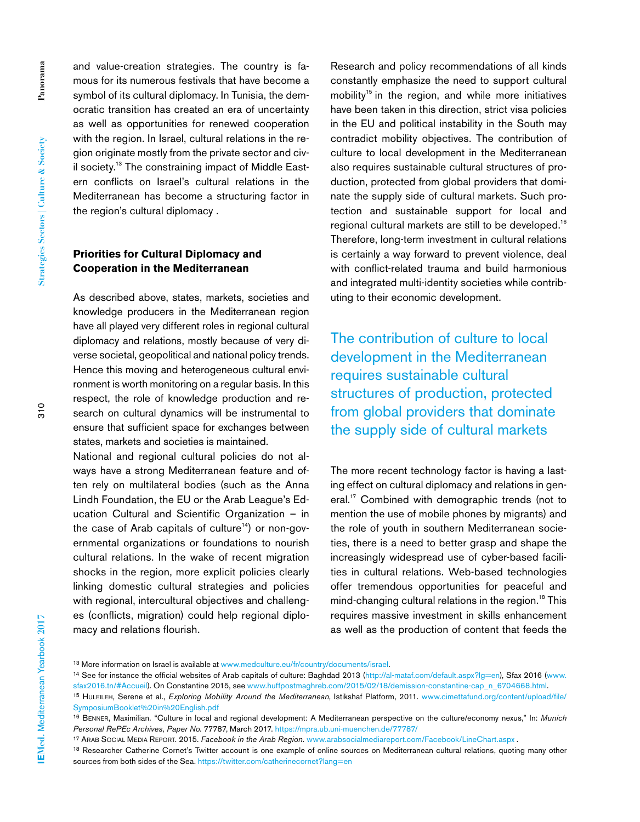and value-creation strategies. The country is famous for its numerous festivals that have become a symbol of its cultural diplomacy. In Tunisia, the democratic transition has created an era of uncertainty as well as opportunities for renewed cooperation with the region. In Israel, cultural relations in the region originate mostly from the private sector and civil society.13 The constraining impact of Middle Eastern conflicts on Israel's cultural relations in the Mediterranean has become a structuring factor in the region's cultural diplomacy .

## **Priorities for Cultural Diplomacy and Cooperation in the Mediterranean**

As described above, states, markets, societies and knowledge producers in the Mediterranean region have all played very different roles in regional cultural diplomacy and relations, mostly because of very diverse societal, geopolitical and national policy trends. Hence this moving and heterogeneous cultural environment is worth monitoring on a regular basis. In this respect, the role of knowledge production and research on cultural dynamics will be instrumental to ensure that sufficient space for exchanges between states, markets and societies is maintained.

National and regional cultural policies do not always have a strong Mediterranean feature and often rely on multilateral bodies (such as the Anna Lindh Foundation, the EU or the Arab League's Education Cultural and Scientific Organization – in the case of Arab capitals of culture<sup>14</sup>) or non-governmental organizations or foundations to nourish cultural relations. In the wake of recent migration shocks in the region, more explicit policies clearly linking domestic cultural strategies and policies with regional, intercultural objectives and challenges (conflicts, migration) could help regional diplomacy and relations flourish.

Research and policy recommendations of all kinds constantly emphasize the need to support cultural mobility<sup>15</sup> in the region, and while more initiatives have been taken in this direction, strict visa policies in the EU and political instability in the South may contradict mobility objectives. The contribution of culture to local development in the Mediterranean also requires sustainable cultural structures of production, protected from global providers that dominate the supply side of cultural markets. Such protection and sustainable support for local and regional cultural markets are still to be developed.16 Therefore, long-term investment in cultural relations is certainly a way forward to prevent violence, deal with conflict-related trauma and build harmonious and integrated multi-identity societies while contributing to their economic development.

The contribution of culture to local development in the Mediterranean requires sustainable cultural structures of production, protected from global providers that dominate the supply side of cultural markets

The more recent technology factor is having a lasting effect on cultural diplomacy and relations in general.<sup>17</sup> Combined with demographic trends (not to mention the use of mobile phones by migrants) and the role of youth in southern Mediterranean societies, there is a need to better grasp and shape the increasingly widespread use of cyber-based facilities in cultural relations. Web-based technologies offer tremendous opportunities for peaceful and mind-changing cultural relations in the region.<sup>18</sup> This requires massive investment in skills enhancement as well as the production of content that feeds the

 $310$ 

<sup>13</sup> More information on Israel is available at www.medculture.eu/fr/country/documents/israel.

<sup>&</sup>lt;sup>14</sup> See for instance the official websites of Arab capitals of culture: Baghdad 2013 (http://al-mataf.com/default.aspx?lg=en), Sfax 2016 (www. sfax2016.tn/#Accueil). On Constantine 2015, see www.huffpostmaghreb.com/2015/02/18/demission-constantine-cap\_n\_6704668.html.

<sup>15</sup> Huleileh, Serene et al., *Exploring Mobility Around the Mediterranean*, Istikshaf Platform, 2011. www.cimettafund.org/content/upload/file/ SymposiumBooklet%20in%20English.pdf

<sup>16</sup> Benner, Maximilian. "Culture in local and regional development: A Mediterranean perspective on the culture/economy nexus," In: *Munich Personal RePEc Archives, Paper No*. 77787, March 2017. https://mpra.ub.uni-muenchen.de/77787/

<sup>17</sup> Arab Social Media Report. 2015. *Facebook in the Arab Region.* www.arabsocialmediareport.com/Facebook/LineChart.aspx .

<sup>18</sup> Researcher Catherine Cornet's Twitter account is one example of online sources on Mediterranean cultural relations, quoting many other sources from both sides of the Sea. https://twitter.com/catherinecornet?lang=en